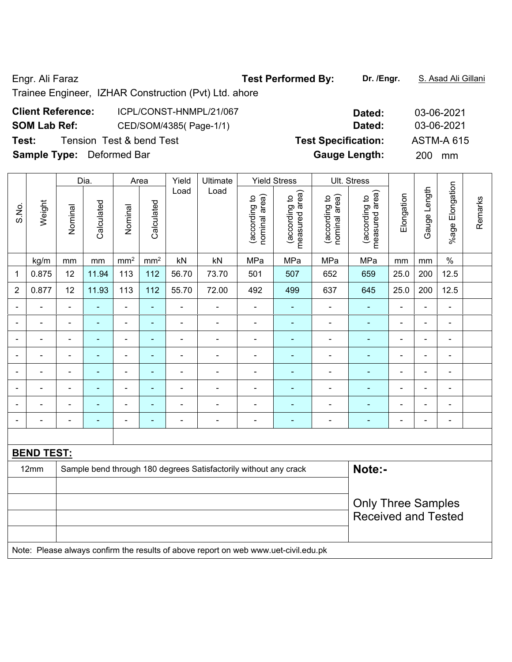Engr. Ali Faraz **Test Performed By: Dr. /Engr.** S. Asad Ali Gillani

# Trainee Engineer, IZHAR Construction (Pvt) Ltd. ahore

# **Client Reference:** ICPL/CONST-HNMPL/21/067 **Dated:** 03-06-2021 **SOM Lab Ref:** CED/SOM/4385( Page-1/1) **Dated:** 03-06-2021 **Test:** Tension Test & bend Test **Test Specification:** ASTM-A 615

**Sample Type:** Deformed Bar **Gauge Length:** 200 mm

|                          |                   |                | Dia.       |                          | Area                     | Yield          | <b>Ultimate</b>                                                                     |                                | <b>Yield Stress</b>             |                                | Ult. Stress                     |                          |                |                 |         |
|--------------------------|-------------------|----------------|------------|--------------------------|--------------------------|----------------|-------------------------------------------------------------------------------------|--------------------------------|---------------------------------|--------------------------------|---------------------------------|--------------------------|----------------|-----------------|---------|
| S.No.                    | Weight            | Nominal        | Calculated | Nominal                  | Calculated               | Load           | Load                                                                                | nominal area)<br>(according to | measured area)<br>(according to | nominal area)<br>(according to | measured area)<br>(according to | Elongation               | Gauge Length   | %age Elongation | Remarks |
|                          | kg/m              | mm             | mm         | mm <sup>2</sup>          | mm <sup>2</sup>          | kN             | kN                                                                                  | MPa                            | MPa                             | MPa                            | MPa                             | mm                       | mm             | $\%$            |         |
| $\mathbf 1$              | 0.875             | 12             | 11.94      | 113                      | 112                      | 56.70          | 73.70                                                                               | 501                            | 507                             | 652                            | 659                             | 25.0                     | 200            | 12.5            |         |
| $\overline{2}$           | 0.877             | 12             | 11.93      | 113                      | 112                      | 55.70          | 72.00                                                                               | 492                            | 499                             | 637                            | 645                             | 25.0                     | 200            | 12.5            |         |
|                          |                   | $\blacksquare$ | ä,         | $\blacksquare$           | $\blacksquare$           | $\blacksquare$ | $\blacksquare$                                                                      | $\blacksquare$                 | $\blacksquare$                  | $\blacksquare$                 | ä,                              | $\blacksquare$           | $\blacksquare$ | $\blacksquare$  |         |
|                          |                   | $\blacksquare$ | ÷,         | $\blacksquare$           | $\blacksquare$           | $\blacksquare$ | $\blacksquare$                                                                      | $\blacksquare$                 |                                 | $\blacksquare$                 | $\frac{1}{2}$                   | $\blacksquare$           | ä,             | $\blacksquare$  |         |
|                          |                   |                |            | $\blacksquare$           |                          |                |                                                                                     |                                |                                 |                                | $\overline{\phantom{0}}$        | $\blacksquare$           | $\overline{a}$ |                 |         |
|                          |                   |                |            | $\blacksquare$           |                          |                |                                                                                     |                                |                                 | $\overline{a}$                 | $\blacksquare$                  | $\blacksquare$           | Ē,             | ÷               |         |
|                          |                   | $\blacksquare$ | ۰          | $\blacksquare$           | ۰                        | $\blacksquare$ |                                                                                     |                                |                                 | $\blacksquare$                 | $\blacksquare$                  | $\overline{a}$           | ä,             | $\blacksquare$  |         |
| $\overline{\phantom{0}}$ |                   | L,             | ۰          | $\blacksquare$           | ÷                        | $\blacksquare$ | $\blacksquare$                                                                      | ä,                             | $\blacksquare$                  | $\blacksquare$                 | ÷,                              | $\blacksquare$           | $\blacksquare$ | ÷,              |         |
| $\overline{\phantom{0}}$ |                   | Ē,             | ÷,         | $\blacksquare$           | $\blacksquare$           | $\blacksquare$ | $\blacksquare$                                                                      | $\blacksquare$                 |                                 | $\blacksquare$                 | $\blacksquare$                  | $\overline{\phantom{a}}$ | $\blacksquare$ | $\blacksquare$  |         |
|                          |                   | ٠              | ۰          | $\overline{\phantom{0}}$ | $\overline{\phantom{a}}$ | $\blacksquare$ | $\blacksquare$                                                                      | $\overline{\phantom{0}}$       | $\blacksquare$                  | $\overline{\phantom{0}}$       | ۰                               | $\blacksquare$           | $\overline{a}$ | ÷,              |         |
|                          |                   |                |            |                          |                          |                |                                                                                     |                                |                                 |                                |                                 |                          |                |                 |         |
|                          | <b>BEND TEST:</b> |                |            |                          |                          |                |                                                                                     |                                |                                 |                                |                                 |                          |                |                 |         |
|                          | 12mm              |                |            |                          |                          |                | Sample bend through 180 degrees Satisfactorily without any crack                    |                                |                                 |                                | Note:-                          |                          |                |                 |         |
|                          |                   |                |            |                          |                          |                |                                                                                     |                                |                                 |                                |                                 |                          |                |                 |         |
|                          |                   |                |            |                          |                          |                |                                                                                     |                                |                                 |                                | <b>Only Three Samples</b>       |                          |                |                 |         |
|                          |                   |                |            |                          |                          |                |                                                                                     |                                |                                 |                                | <b>Received and Tested</b>      |                          |                |                 |         |
|                          |                   |                |            |                          |                          |                |                                                                                     |                                |                                 |                                |                                 |                          |                |                 |         |
|                          |                   |                |            |                          |                          |                | Note: Please always confirm the results of above report on web www.uet-civil.edu.pk |                                |                                 |                                |                                 |                          |                |                 |         |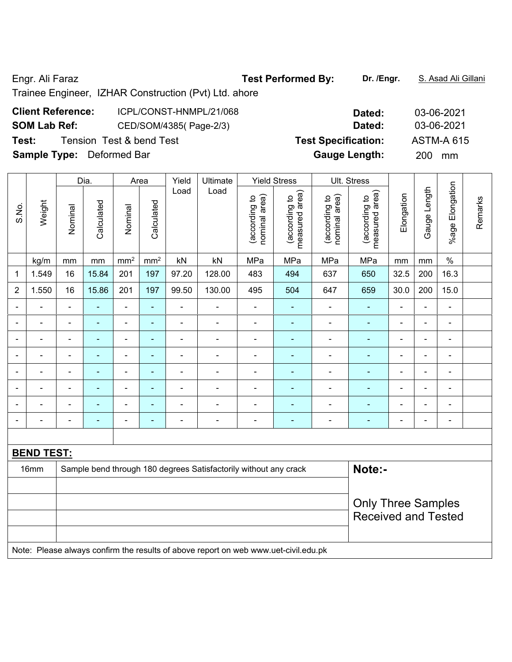Engr. Ali Faraz **Test Performed By: Dr. /Engr.** S. Asad Ali Gillani

## Trainee Engineer, IZHAR Construction (Pvt) Ltd. ahore

# **Client Reference:** ICPL/CONST-HNMPL/21/068 **Dated:** 03-06-2021 **SOM Lab Ref:** CED/SOM/4385( Page-2/3) **Dated:** 03-06-2021 **Test:** Tension Test & bend Test **Test Specification:** ASTM-A 615 **Sample Type:** Deformed Bar **Gauge Length:** 200 mm

|                          |                                                                                     |                | Dia.           | Area                         |                 | Yield          | Ultimate                                                         |                                | <b>Yield Stress</b>             |                                | Ult. Stress                        |                          |                |                 |         |
|--------------------------|-------------------------------------------------------------------------------------|----------------|----------------|------------------------------|-----------------|----------------|------------------------------------------------------------------|--------------------------------|---------------------------------|--------------------------------|------------------------------------|--------------------------|----------------|-----------------|---------|
| S.No.                    | Weight                                                                              | Nominal        | Calculated     | Nominal                      | Calculated      | Load           | Load                                                             | nominal area)<br>(according to | measured area)<br>(according to | nominal area)<br>(according to | area)<br>(according to<br>measured | Elongation               | Gauge Length   | %age Elongation | Remarks |
|                          | kg/m                                                                                | mm             | mm             | mm <sup>2</sup>              | mm <sup>2</sup> | kN             | kN                                                               | MPa                            | MPa                             | MPa                            | MPa                                | mm                       | mm             | $\%$            |         |
| $\mathbf 1$              | 1.549                                                                               | 16             | 15.84          | 201                          | 197             | 97.20          | 128.00                                                           | 483                            | 494                             | 637                            | 650                                | 32.5                     | 200            | 16.3            |         |
| $\overline{2}$           | 1.550                                                                               | 16             | 15.86          | 201                          | 197             | 99.50          | 130.00                                                           | 495                            | 504                             | 647                            | 659                                | 30.0                     | 200            | 15.0            |         |
|                          |                                                                                     | $\blacksquare$ |                | L,                           | ä,              | ä,             |                                                                  | ä,                             | ä,                              | ä,                             |                                    | ä,                       |                | ä,              |         |
| $\overline{\phantom{0}}$ | $\overline{\phantom{0}}$                                                            | $\blacksquare$ | $\blacksquare$ | $\qquad \qquad \blacksquare$ | $\blacksquare$  | $\blacksquare$ | $\overline{\phantom{a}}$                                         | $\blacksquare$                 | $\blacksquare$                  | $\blacksquare$                 | $\blacksquare$                     | $\blacksquare$           | $\blacksquare$ | ÷               |         |
| $\overline{\phantom{0}}$ | $\blacksquare$                                                                      | $\blacksquare$ | $\blacksquare$ | $\blacksquare$               | $\blacksquare$  | $\blacksquare$ | $\blacksquare$                                                   | $\blacksquare$                 | $\blacksquare$                  | $\blacksquare$                 | $\blacksquare$                     | ÷                        | $\blacksquare$ | $\blacksquare$  |         |
|                          |                                                                                     | $\blacksquare$ | $\blacksquare$ | ÷                            | $\blacksquare$  | $\blacksquare$ | $\overline{\phantom{0}}$                                         | $\overline{\phantom{a}}$       | $\blacksquare$                  | $\overline{\phantom{a}}$       | $\overline{\phantom{0}}$           | $\overline{\phantom{a}}$ | $\blacksquare$ | ÷               |         |
| $\overline{\phantom{a}}$ | ÷                                                                                   | $\blacksquare$ | ä,             | $\qquad \qquad \blacksquare$ | $\blacksquare$  | $\frac{1}{2}$  | $\blacksquare$                                                   | Ē,                             | $\blacksquare$                  | $\blacksquare$                 | ۰                                  | $\blacksquare$           | $\blacksquare$ | ÷,              |         |
|                          | ä,                                                                                  | $\blacksquare$ | ä,             | ÷,                           | $\blacksquare$  | $\frac{1}{2}$  | $\blacksquare$                                                   | $\blacksquare$                 | ä,                              | $\blacksquare$                 | ÷                                  | ÷,                       | ä,             | ÷,              |         |
| $\blacksquare$           | $\blacksquare$                                                                      | L,             | ä,             | ÷,                           | $\blacksquare$  | ä,             | $\blacksquare$                                                   | $\blacksquare$                 | ä,                              | $\blacksquare$                 | ä,                                 | ä,                       | ä,             | ä,              |         |
|                          | $\blacksquare$                                                                      | $\blacksquare$ | $\blacksquare$ | $\blacksquare$               | ä,              | $\blacksquare$ | ä,                                                               | Ē,                             | $\blacksquare$                  | $\blacksquare$                 | $\blacksquare$                     | $\blacksquare$           | $\blacksquare$ | ä,              |         |
|                          |                                                                                     |                |                |                              |                 |                |                                                                  |                                |                                 |                                |                                    |                          |                |                 |         |
|                          | <b>BEND TEST:</b>                                                                   |                |                |                              |                 |                |                                                                  |                                |                                 |                                |                                    |                          |                |                 |         |
|                          | 16mm                                                                                |                |                |                              |                 |                | Sample bend through 180 degrees Satisfactorily without any crack |                                |                                 |                                | Note:-                             |                          |                |                 |         |
|                          |                                                                                     |                |                |                              |                 |                |                                                                  |                                |                                 |                                |                                    |                          |                |                 |         |
|                          |                                                                                     |                |                |                              |                 |                |                                                                  |                                |                                 |                                | <b>Only Three Samples</b>          |                          |                |                 |         |
|                          |                                                                                     |                |                |                              |                 |                |                                                                  |                                |                                 |                                | <b>Received and Tested</b>         |                          |                |                 |         |
|                          |                                                                                     |                |                |                              |                 |                |                                                                  |                                |                                 |                                |                                    |                          |                |                 |         |
|                          | Note: Please always confirm the results of above report on web www.uet-civil.edu.pk |                |                |                              |                 |                |                                                                  |                                |                                 |                                |                                    |                          |                |                 |         |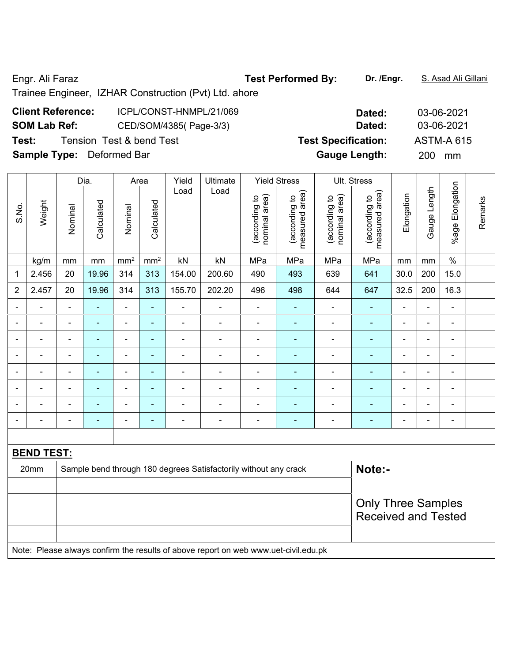Engr. Ali Faraz **Test Performed By: Dr. /Engr.** S. Asad Ali Gillani

Trainee Engineer, IZHAR Construction (Pvt) Ltd. ahore

# **Client Reference:** ICPL/CONST-HNMPL/21/069 **Dated:** 03-06-2021 **SOM Lab Ref:** CED/SOM/4385( Page-3/3) **Dated:** 03-06-2021 **Test:** Tension Test & bend Test **Test Specification:** ASTM-A 615 **Sample Type:** Deformed Bar **Gauge Length:** 200 mm

|                          |                   |                           | Dia.           | Area                     |                | Yield          | Ultimate                                                                            |                                | <b>Yield Stress</b>             |                                | Ult. Stress                        |                |                              |                          |         |
|--------------------------|-------------------|---------------------------|----------------|--------------------------|----------------|----------------|-------------------------------------------------------------------------------------|--------------------------------|---------------------------------|--------------------------------|------------------------------------|----------------|------------------------------|--------------------------|---------|
| S.No.                    | Weight            | Nominal                   | Calculated     | Nominal                  | Calculated     | Load           | Load                                                                                | nominal area)<br>(according to | measured area)<br>(according to | nominal area)<br>(according to | area)<br>(according to<br>measured | Elongation     | Gauge Length                 | %age Elongation          | Remarks |
|                          | kg/m              | mm                        | mm             | $\rm mm^2$               | $\text{mm}^2$  | kN             | kN                                                                                  | MPa                            | MPa                             | MPa                            | MPa                                | mm             | mm                           | $\%$                     |         |
| 1                        | 2.456             | 20                        | 19.96          | 314                      | 313            | 154.00         | 200.60                                                                              | 490                            | 493                             | 639                            | 641                                | 30.0           | 200                          | 15.0                     |         |
| $\overline{2}$           | 2.457             | 20                        | 19.96          | 314                      | 313            | 155.70         | 202.20                                                                              | 496                            | 498                             | 644                            | 647                                | 32.5           | 200                          | 16.3                     |         |
|                          |                   | ÷                         |                | $\blacksquare$           | ä,             |                | ÷,                                                                                  | $\blacksquare$                 | ä,                              | $\blacksquare$                 | ä,                                 | $\blacksquare$ | ÷                            | $\blacksquare$           |         |
| ٠                        |                   | ä,                        |                | $\blacksquare$           | $\blacksquare$ |                | $\frac{1}{2}$                                                                       | $\blacksquare$                 | ä,                              | ä,                             | $\blacksquare$                     | $\blacksquare$ | $\blacksquare$               | $\blacksquare$           |         |
| $\overline{\phantom{a}}$ | $\blacksquare$    | $\overline{\phantom{a}}$  | $\blacksquare$ | $\overline{\phantom{a}}$ | $\blacksquare$ | $\blacksquare$ | $\qquad \qquad \blacksquare$                                                        | $\overline{a}$                 | ٠                               | ä,                             | $\blacksquare$                     | $\blacksquare$ | $\blacksquare$               | $\blacksquare$           |         |
| $\blacksquare$           | $\blacksquare$    | $\overline{\phantom{a}}$  | $\blacksquare$ | $\overline{\phantom{a}}$ | $\blacksquare$ | $\blacksquare$ | ÷,                                                                                  | $\blacksquare$                 | ÷                               | ÷,                             | ÷                                  | $\blacksquare$ | $\qquad \qquad \blacksquare$ | $\overline{\phantom{a}}$ |         |
| $\blacksquare$           | $\blacksquare$    | $\blacksquare$            | $\blacksquare$ | $\blacksquare$           | $\blacksquare$ | $\blacksquare$ | $\frac{1}{2}$                                                                       | $\blacksquare$                 | ۰                               | ÷                              | $\blacksquare$                     | $\blacksquare$ | $\blacksquare$               | $\overline{\phantom{a}}$ |         |
| $\blacksquare$           | $\blacksquare$    | $\blacksquare$            | $\blacksquare$ | $\blacksquare$           | $\blacksquare$ | $\blacksquare$ | $\frac{1}{2}$                                                                       | $\blacksquare$                 | ÷,                              | ä,                             | ä,                                 | $\blacksquare$ | ä,                           | $\blacksquare$           |         |
| $\blacksquare$           | $\blacksquare$    | ä,                        | $\blacksquare$ | $\blacksquare$           | $\blacksquare$ | $\blacksquare$ | $\blacksquare$                                                                      | $\blacksquare$                 | ä,                              | L,                             | ä,                                 | $\blacksquare$ | ä,                           | L,                       |         |
| $\blacksquare$           | $\blacksquare$    | L,                        | $\blacksquare$ | $\blacksquare$           | ÷,             | $\blacksquare$ | ÷,                                                                                  | $\blacksquare$                 | ä,                              | Ē,                             | ÷,                                 | $\blacksquare$ | $\overline{\phantom{a}}$     | $\blacksquare$           |         |
|                          |                   |                           |                |                          |                |                |                                                                                     |                                |                                 |                                |                                    |                |                              |                          |         |
|                          | <b>BEND TEST:</b> |                           |                |                          |                |                |                                                                                     |                                |                                 |                                |                                    |                |                              |                          |         |
|                          | 20mm              |                           |                |                          |                |                | Sample bend through 180 degrees Satisfactorily without any crack                    |                                |                                 |                                | Note:-                             |                |                              |                          |         |
|                          |                   |                           |                |                          |                |                |                                                                                     |                                |                                 |                                |                                    |                |                              |                          |         |
|                          |                   | <b>Only Three Samples</b> |                |                          |                |                |                                                                                     |                                |                                 |                                |                                    |                |                              |                          |         |
|                          |                   |                           |                |                          |                |                |                                                                                     |                                |                                 |                                | <b>Received and Tested</b>         |                |                              |                          |         |
|                          |                   |                           |                |                          |                |                |                                                                                     |                                |                                 |                                |                                    |                |                              |                          |         |
|                          |                   |                           |                |                          |                |                | Note: Please always confirm the results of above report on web www.uet-civil.edu.pk |                                |                                 |                                |                                    |                |                              |                          |         |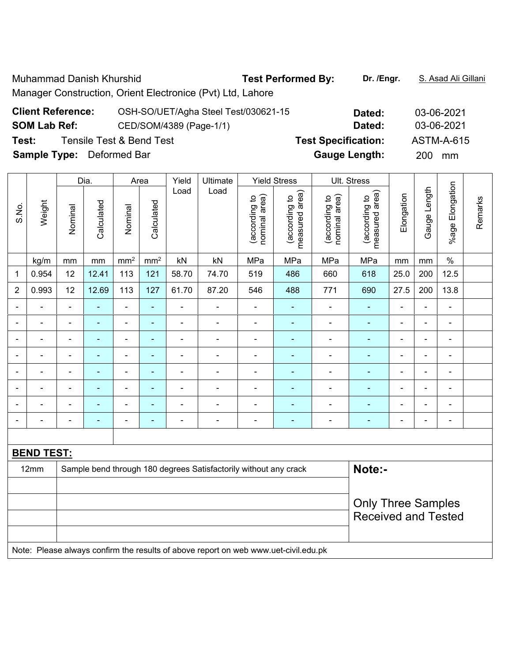Muhammad Danish Khurshid **Test Performed By:** Dr. /Engr. **S. Asad Ali Gillani** Manager Construction, Orient Electronice (Pvt) Ltd, Lahore

| <b>Client Reference:</b>         | OSH-SO/UET/Agha Steel Test/030621-15 | Dated:                     | 03-06-2021        |
|----------------------------------|--------------------------------------|----------------------------|-------------------|
| <b>SOM Lab Ref:</b>              | CED/SOM/4389 (Page-1/1)              | Dated:                     | 03-06-2021        |
| Test:                            | Tensile Test & Bend Test             | <b>Test Specification:</b> | <b>ASTM-A-615</b> |
| <b>Sample Type:</b> Deformed Bar |                                      | <b>Gauge Length:</b>       | 200 mm            |

|                |                   |                              | Dia.                     |                          | Area            | Yield          | Ultimate                                                         |                                | <b>Yield Stress</b>             |                                | Ult. Stress                     |                          |                |                              |         |
|----------------|-------------------|------------------------------|--------------------------|--------------------------|-----------------|----------------|------------------------------------------------------------------|--------------------------------|---------------------------------|--------------------------------|---------------------------------|--------------------------|----------------|------------------------------|---------|
| S.No.          | Weight            | Nominal                      | Calculated               | Nominal                  | Calculated      | Load           | Load                                                             | nominal area)<br>(according to | measured area)<br>(according to | nominal area)<br>(according to | measured area)<br>(according to | Elongation               | Gauge Length   | %age Elongation              | Remarks |
|                | kg/m              | mm                           | mm                       | mm <sup>2</sup>          | mm <sup>2</sup> | kN             | kN                                                               | MPa                            | MPa                             | MPa                            | MPa                             | mm                       | mm             | $\%$                         |         |
| 1              | 0.954             | 12                           | 12.41                    | 113                      | 121             | 58.70          | 74.70                                                            | 519                            | 486                             | 660                            | 618                             | 25.0                     | 200            | 12.5                         |         |
| $\overline{2}$ | 0.993             | 12                           | 12.69                    | 113                      | 127             | 61.70          | 87.20                                                            | 546                            | 488                             | 771                            | 690                             | 27.5                     | 200            | 13.8                         |         |
|                |                   | $\blacksquare$               | ÷                        | ÷,                       | ÷               | L,             | $\blacksquare$                                                   | $\blacksquare$                 | ۰                               | $\blacksquare$                 | $\blacksquare$                  | $\blacksquare$           | $\blacksquare$ | ä,                           |         |
|                |                   | $\blacksquare$               | $\blacksquare$           | $\blacksquare$           | ۰               | ÷              | Ē,                                                               | ۰                              | ۰                               | $\blacksquare$                 | $\blacksquare$                  | $\blacksquare$           | Ē,             | ۰                            |         |
| $\blacksquare$ | $\blacksquare$    | $\blacksquare$               | $\blacksquare$           | $\blacksquare$           | ÷               | ä,             | $\blacksquare$                                                   | ۰                              | ۰                               | $\blacksquare$                 | $\blacksquare$                  | $\blacksquare$           | $\blacksquare$ | $\overline{\phantom{a}}$     |         |
|                |                   | $\qquad \qquad \blacksquare$ | $\overline{\phantom{a}}$ | $\blacksquare$           | ÷               | -              | -                                                                | $\overline{a}$                 | ۰                               | $\blacksquare$                 | ÷                               | -                        | $\blacksquare$ | ۰                            |         |
|                |                   | -                            |                          | $\overline{\phantom{a}}$ | ÷               | ä,             | ä,                                                               | ۰                              | ۰                               |                                | $\blacksquare$                  | $\blacksquare$           | $\blacksquare$ | $\blacksquare$               |         |
| $\blacksquare$ | $\blacksquare$    | $\overline{a}$               | $\blacksquare$           | $\blacksquare$           | ÷               | $\overline{a}$ | $\blacksquare$                                                   | $\overline{\phantom{a}}$       | ÷                               | ÷                              | $\blacksquare$                  | $\blacksquare$           | $\blacksquare$ | $\qquad \qquad \blacksquare$ |         |
|                |                   | ٠                            |                          | $\blacksquare$           | Ē.              | Ē,             | L,                                                               | ۰                              | ۰                               |                                | Ē.                              |                          | Ē,             | $\blacksquare$               |         |
| $\blacksquare$ |                   | $\overline{\phantom{0}}$     | $\blacksquare$           | $\overline{\phantom{0}}$ | ۰               | $\blacksquare$ | $\blacksquare$                                                   | ۰                              | ۰                               | $\blacksquare$                 | ۰                               | $\overline{\phantom{0}}$ | $\blacksquare$ | $\blacksquare$               |         |
|                |                   |                              |                          |                          |                 |                |                                                                  |                                |                                 |                                |                                 |                          |                |                              |         |
|                | <b>BEND TEST:</b> |                              |                          |                          |                 |                |                                                                  |                                |                                 |                                |                                 |                          |                |                              |         |
|                | 12mm              |                              |                          |                          |                 |                | Sample bend through 180 degrees Satisfactorily without any crack |                                |                                 |                                | Note:-                          |                          |                |                              |         |
|                |                   |                              |                          |                          |                 |                |                                                                  |                                |                                 |                                |                                 |                          |                |                              |         |
|                |                   |                              |                          |                          |                 |                |                                                                  |                                |                                 |                                | <b>Only Three Samples</b>       |                          |                |                              |         |
|                |                   |                              |                          |                          |                 |                |                                                                  |                                |                                 |                                | <b>Received and Tested</b>      |                          |                |                              |         |
|                |                   |                              |                          |                          |                 |                |                                                                  |                                |                                 |                                |                                 |                          |                |                              |         |

Note: Please always confirm the results of above report on web www.uet-civil.edu.pk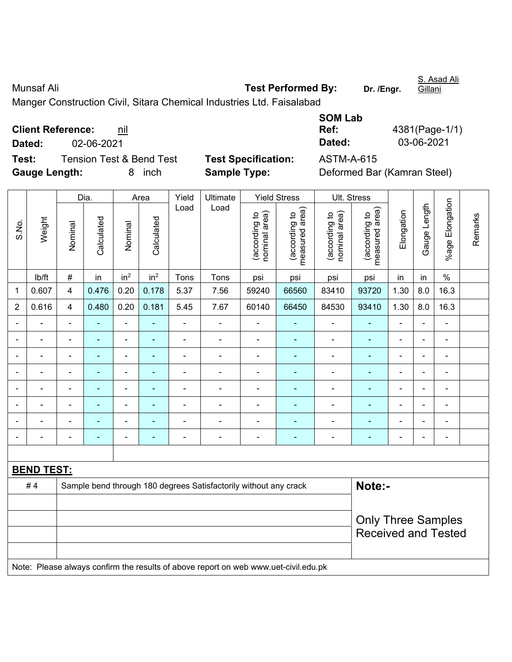Munsaf Ali **Munsaf Ali Test Performed By:** Dr. /Engr. Gillani Manger Construction Civil, Sitara Chemical Industries Ltd. Faisalabad **SOM Lab** 

 $\overline{1}$ 

**Client Reference:** nil

**Test:** Tension Test & Bend Test **Test Specification:** ASTM-A-615 **Gauge Length:** 8 inch **Sample Type:** Deformed Bar (Kamran Steel)

**Ref:** 4381(Page-1/1) **Dated:** 02-06-2021 **Dated:** 03-06-2021

|                          |                   |                                                                            | Dia.           |                 | Area                     | Yield          | Ultimate                                                                            |                                | <b>Yield Stress</b>             |                                | Ult. Stress                                             |                          |                |                              |         |
|--------------------------|-------------------|----------------------------------------------------------------------------|----------------|-----------------|--------------------------|----------------|-------------------------------------------------------------------------------------|--------------------------------|---------------------------------|--------------------------------|---------------------------------------------------------|--------------------------|----------------|------------------------------|---------|
| S.No.                    | Weight            | Nominal                                                                    | Calculated     | Nominal         | Calculated               | Load           | Load                                                                                | (according to<br>nominal area) | (according to<br>measured area) | nominal area)<br>(according to | (according to<br>measured area)                         | Elongation               | Gauge Length   | %age Elongation              | Remarks |
|                          | Ib/ft             | $\#$                                                                       | in             | in <sup>2</sup> | in <sup>2</sup>          | Tons           | Tons                                                                                | psi                            | psi                             | psi                            | psi                                                     | in                       | in             | $\%$                         |         |
| 1                        | 0.607             | $\overline{4}$                                                             | 0.476          | 0.20            | 0.178                    | 5.37           | 7.56                                                                                | 59240                          | 66560                           | 83410                          | 93720                                                   | 1.30                     | 8.0            | 16.3                         |         |
| 2                        | 0.616             | $\overline{4}$                                                             | 0.480          | 0.20            | 0.181                    | 5.45           | 7.67                                                                                | 60140                          | 66450                           | 84530                          | 93410                                                   | 1.30                     | 8.0            | 16.3                         |         |
| $\blacksquare$           | ÷.                | $\blacksquare$                                                             | $\blacksquare$ | ÷,              |                          | $\blacksquare$ | $\overline{\phantom{a}}$                                                            | L,                             | ٠                               | ÷                              | $\blacksquare$                                          | $\blacksquare$           | $\blacksquare$ | $\qquad \qquad \blacksquare$ |         |
| $\blacksquare$           | ÷.                | $\blacksquare$                                                             | $\blacksquare$ | ÷,              | $\blacksquare$           | $\blacksquare$ | $\blacksquare$                                                                      | $\blacksquare$                 | ۰                               | $\blacksquare$                 | $\blacksquare$                                          | $\blacksquare$           | ÷              | $\blacksquare$               |         |
| $\overline{\phantom{0}}$ | ÷                 | $\blacksquare$                                                             | $\blacksquare$ | ÷               |                          | $\blacksquare$ | ä,                                                                                  |                                | ۰                               | $\overline{a}$                 | $\blacksquare$                                          | ä,                       | ÷              | $\blacksquare$               |         |
|                          |                   |                                                                            | $\blacksquare$ | ۰               |                          |                | $\blacksquare$                                                                      | ä,                             |                                 | $\blacksquare$                 |                                                         | $\blacksquare$           |                | ۰                            |         |
|                          |                   |                                                                            | ÷,             | ÷               |                          |                | $\blacksquare$                                                                      |                                |                                 | $\overline{a}$                 |                                                         | $\blacksquare$           |                | $\blacksquare$               |         |
|                          | $\blacksquare$    | $\blacksquare$                                                             | ۰              | ÷               | $\blacksquare$           | $\blacksquare$ | $\overline{\phantom{0}}$                                                            | $\blacksquare$                 | ۰                               | $\blacksquare$                 | $\blacksquare$                                          | $\blacksquare$           | $\blacksquare$ | $\blacksquare$               |         |
| $\blacksquare$           |                   |                                                                            | ÷              | ÷               |                          |                | $\overline{a}$                                                                      | $\blacksquare$                 | ÷                               | $\overline{a}$                 | $\blacksquare$                                          | $\blacksquare$           | Ē,             | $\overline{\phantom{a}}$     |         |
| $\blacksquare$           | L.                | $\blacksquare$                                                             | ۰              | ÷               | $\overline{\phantom{0}}$ | $\blacksquare$ | $\blacksquare$                                                                      | -                              | $\overline{\phantom{0}}$        | $\blacksquare$                 | $\overline{\phantom{a}}$                                | $\overline{\phantom{a}}$ | $\blacksquare$ | $\overline{\phantom{a}}$     |         |
|                          |                   |                                                                            |                |                 |                          |                |                                                                                     |                                |                                 |                                |                                                         |                          |                |                              |         |
|                          | <b>BEND TEST:</b> |                                                                            |                |                 |                          |                |                                                                                     |                                |                                 |                                |                                                         |                          |                |                              |         |
|                          | #4                | Note:-<br>Sample bend through 180 degrees Satisfactorily without any crack |                |                 |                          |                |                                                                                     |                                |                                 |                                |                                                         |                          |                |                              |         |
|                          |                   |                                                                            |                |                 |                          |                |                                                                                     |                                |                                 |                                |                                                         |                          |                |                              |         |
|                          |                   |                                                                            |                |                 |                          |                |                                                                                     |                                |                                 |                                | <b>Only Three Samples</b><br><b>Received and Tested</b> |                          |                |                              |         |
|                          |                   |                                                                            |                |                 |                          |                | Note: Please always confirm the results of above report on web www.uet-civil.edu.pk |                                |                                 |                                |                                                         |                          |                |                              |         |

S. Asad Ali

 $\overline{\phantom{a}}$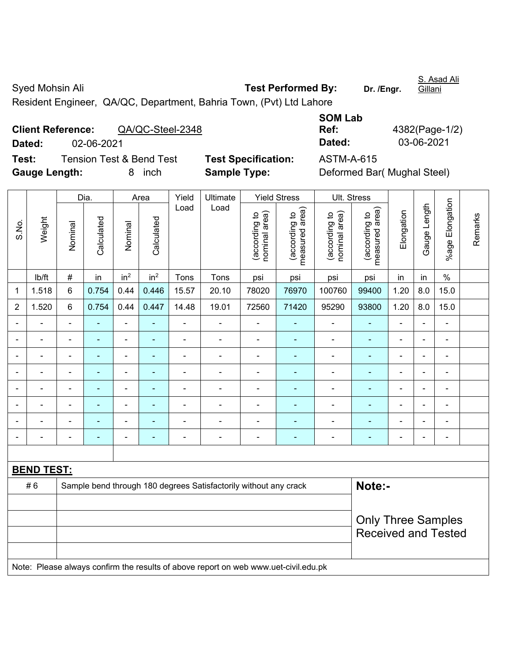Syed Mohsin Ali **Test Performed By:** Dr. /Engr. S. Asad Ali Gillani Resident Engineer, QA/QC, Department, Bahria Town, (Pvt) Ltd Lahore

|        | <b>Client Reference:</b> | QA/QC-Steel-2348         |                            | Ref:       | 4382(Page-1/ |
|--------|--------------------------|--------------------------|----------------------------|------------|--------------|
| Dated: | 02-06-2021               |                          |                            | Dated:     | 03-06-2021   |
| Test:  |                          | Tension Test & Bend Test | <b>Test Specification:</b> | ASTM-A-615 |              |
| $\sim$ |                          |                          |                            |            |              |

| <b>SOM Lab</b> |                |
|----------------|----------------|
| Ref:           | 4382(Page-1/2) |
| Dated:         | 03-06-2021     |
|                |                |

**Test Specification:** ASTM-A-615 **Gauge Length:** 8 inch **Sample Type:** Deformed Bar( Mughal Steel)

|                |                   |                | Dia.           |                          | Area            | Yield          | Ultimate                                                                            | <b>Yield Stress</b>            |                                 | Ult. Stress                    |                                 |                              |                |                      |         |
|----------------|-------------------|----------------|----------------|--------------------------|-----------------|----------------|-------------------------------------------------------------------------------------|--------------------------------|---------------------------------|--------------------------------|---------------------------------|------------------------------|----------------|----------------------|---------|
| S.No.          | Weight            | Nominal        | Calculated     | Nominal                  | Calculated      | Load           | Load                                                                                | nominal area)<br>(according to | (according to<br>measured area) | nominal area)<br>(according to | (according to<br>measured area) | Elongation                   | Gauge Length   | Elongation<br>%age l | Remarks |
|                | lb/ft             | $\#$           | in             | in <sup>2</sup>          | in <sup>2</sup> | Tons           | Tons                                                                                | psi                            | psi                             | psi                            | psi                             | in                           | in             | $\%$                 |         |
| 1              | 1.518             | 6              | 0.754          | 0.44                     | 0.446           | 15.57          | 20.10                                                                               | 78020                          | 76970                           | 100760                         | 99400                           | 1.20                         | 8.0            | 15.0                 |         |
| $\overline{2}$ | 1.520             | 6              | 0.754          | 0.44                     | 0.447           | 14.48          | 19.01                                                                               | 72560                          | 71420                           | 95290                          | 93800                           | 1.20                         | 8.0            | 15.0                 |         |
|                |                   | $\blacksquare$ |                | $\overline{a}$           |                 | $\overline{a}$ | ÷.                                                                                  |                                |                                 |                                |                                 | ÷.                           |                | ä,                   |         |
|                |                   | $\blacksquare$ | ۰              | $\blacksquare$           |                 | $\blacksquare$ | $\blacksquare$                                                                      | $\blacksquare$                 | ٠                               | $\blacksquare$                 | $\blacksquare$                  | ۰                            |                | $\blacksquare$       |         |
| $\blacksquare$ |                   | $\blacksquare$ | ۰              | $\blacksquare$           |                 | $\blacksquare$ | $\blacksquare$                                                                      | ä,                             | $\blacksquare$                  | $\blacksquare$                 | $\blacksquare$                  | $\blacksquare$               |                | $\blacksquare$       |         |
| $\blacksquare$ |                   | $\blacksquare$ | ÷              | $\blacksquare$           |                 | L,             | ÷,                                                                                  | L,                             | ٠                               | $\blacksquare$                 |                                 | ۰                            |                | ÷                    |         |
| $\blacksquare$ |                   | $\blacksquare$ | ÷              | $\blacksquare$           | $\blacksquare$  | ä,             | $\blacksquare$                                                                      | ä,                             | ٠                               | $\blacksquare$                 | $\blacksquare$                  | $\qquad \qquad \blacksquare$ | $\blacksquare$ | $\frac{1}{2}$        |         |
| $\blacksquare$ | $\blacksquare$    | $\blacksquare$ | ä,             | $\blacksquare$           | ٠               | L,             | ÷,                                                                                  | $\overline{a}$                 | ۰                               | $\blacksquare$                 | $\blacksquare$                  | $\blacksquare$               |                | ÷,                   |         |
|                |                   | $\blacksquare$ | $\blacksquare$ | $\blacksquare$           |                 | ä,             | $\blacksquare$                                                                      | ä,                             | ۰                               | $\blacksquare$                 | $\blacksquare$                  | $\blacksquare$               |                | ä,                   |         |
|                |                   | $\blacksquare$ | ۰              | $\overline{\phantom{0}}$ | ٠               | L.             | $\blacksquare$                                                                      | $\blacksquare$                 | $\overline{\phantom{0}}$        | $\blacksquare$                 | ÷                               | $\overline{\phantom{0}}$     |                | $\blacksquare$       |         |
|                |                   |                |                |                          |                 |                |                                                                                     |                                |                                 |                                |                                 |                              |                |                      |         |
|                | <b>BEND TEST:</b> |                |                |                          |                 |                |                                                                                     |                                |                                 |                                |                                 |                              |                |                      |         |
|                | #6                |                |                |                          |                 |                | Sample bend through 180 degrees Satisfactorily without any crack                    |                                |                                 |                                | Note:-                          |                              |                |                      |         |
|                |                   |                |                |                          |                 |                |                                                                                     |                                |                                 |                                |                                 |                              |                |                      |         |
|                |                   |                |                |                          |                 |                |                                                                                     |                                |                                 |                                | <b>Only Three Samples</b>       |                              |                |                      |         |
|                |                   |                |                |                          |                 |                |                                                                                     |                                |                                 |                                | <b>Received and Tested</b>      |                              |                |                      |         |
|                |                   |                |                |                          |                 |                |                                                                                     |                                |                                 |                                |                                 |                              |                |                      |         |
|                |                   |                |                |                          |                 |                | Note: Please always confirm the results of above report on web www.uet-civil.edu.pk |                                |                                 |                                |                                 |                              |                |                      |         |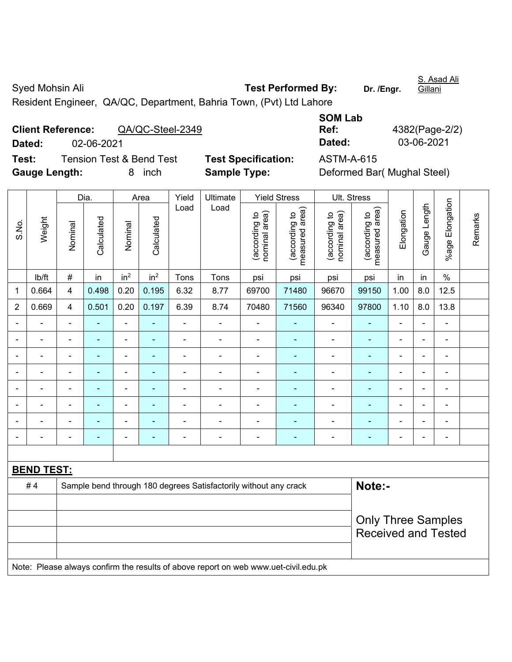Syed Mohsin Ali **Test Performed By:** Dr. /Engr. S. Asad Ali Gillani Resident Engineer, QA/QC, Department, Bahria Town, (Pvt) Ltd Lahore

| <b>Client Reference:</b> |            | QA/QC-Steel-2349                    |                            | Ref:       | 4382(Page-2) |
|--------------------------|------------|-------------------------------------|----------------------------|------------|--------------|
| Dated:                   | 02-06-2021 |                                     |                            | Dated:     | 03-06-2021   |
| Test:                    |            | <b>Tension Test &amp; Bend Test</b> | <b>Test Specification:</b> | ASTM-A-615 |              |
| $\sim$                   |            |                                     |                            |            |              |

| <b>SOM Lab</b> |                |
|----------------|----------------|
| Ref:           | 4382(Page-2/2) |
| Dated:         | 03-06-2021     |
|                |                |

**Test Specification:** ASTM-A-615 **Gauge Length:** 8 inch **Sample Type:** Deformed Bar( Mughal Steel)

|       |                   |                | Dia.           |                              | Area            | Yield          | Ultimate                                                                            |                                | <b>Yield Stress</b>             |                                | Ult. Stress                     |                |                |                 |         |
|-------|-------------------|----------------|----------------|------------------------------|-----------------|----------------|-------------------------------------------------------------------------------------|--------------------------------|---------------------------------|--------------------------------|---------------------------------|----------------|----------------|-----------------|---------|
| S.No. | Weight            | Nominal        | Calculated     | Nominal                      | Calculated      | Load           | Load                                                                                | nominal area)<br>(according to | (according to<br>measured area) | nominal area)<br>(according to | (according to<br>measured area) | Elongation     | Gauge Length   | %age Elongation | Remarks |
|       | lb/ft             | $\#$           | in             | in <sup>2</sup>              | in <sup>2</sup> | Tons           | Tons                                                                                | psi                            | psi                             | psi                            | psi                             | in             | in             | $\%$            |         |
| 1     | 0.664             | 4              | 0.498          | 0.20                         | 0.195           | 6.32           | 8.77                                                                                | 69700                          | 71480                           | 96670                          | 99150                           | 1.00           | 8.0            | 12.5            |         |
| 2     | 0.669             | 4              | 0.501          | 0.20                         | 0.197           | 6.39           | 8.74                                                                                | 70480                          | 71560                           | 96340                          | 97800                           | 1.10           | 8.0            | 13.8            |         |
|       |                   | $\blacksquare$ | ä,             | ÷,                           |                 | L,             | L,                                                                                  | ä,                             |                                 |                                | $\blacksquare$                  | L.             |                | ä,              |         |
|       |                   |                | ۰              | ÷                            |                 |                | $\blacksquare$                                                                      | $\blacksquare$                 |                                 | $\blacksquare$                 | $\blacksquare$                  | $\blacksquare$ |                | $\blacksquare$  |         |
|       |                   |                |                | $\blacksquare$               |                 |                | ÷                                                                                   | $\blacksquare$                 |                                 |                                |                                 |                |                |                 |         |
|       |                   | $\blacksquare$ | ä,             | ۰                            | ۰               |                | $\blacksquare$                                                                      |                                | ۰                               | ä,                             | $\blacksquare$                  | Ē,             | $\blacksquare$ | ÷               |         |
|       | $\blacksquare$    | $\blacksquare$ | $\blacksquare$ | $\qquad \qquad \blacksquare$ | ۰               | $\blacksquare$ | ä,                                                                                  | $\blacksquare$                 | ۰                               | $\blacksquare$                 | $\blacksquare$                  | $\blacksquare$ | $\blacksquare$ | ä,              |         |
|       | $\blacksquare$    | ä,             | ÷              | $\overline{\phantom{0}}$     |                 | $\blacksquare$ | ÷                                                                                   | $\blacksquare$                 |                                 | ×,                             | $\blacksquare$                  | ÷,             | $\blacksquare$ | ÷,              |         |
|       | ÷                 | $\blacksquare$ | ÷,             | $\qquad \qquad \blacksquare$ | ۰               | $\blacksquare$ | $\blacksquare$                                                                      |                                | ۰                               | $\blacksquare$                 | $\blacksquare$                  | $\blacksquare$ |                | ä,              |         |
|       |                   |                |                | $\blacksquare$               |                 |                | $\overline{\phantom{0}}$                                                            | ä,                             |                                 |                                | $\blacksquare$                  |                |                | ä,              |         |
|       |                   |                |                |                              |                 |                |                                                                                     |                                |                                 |                                |                                 |                |                |                 |         |
|       | <b>BEND TEST:</b> |                |                |                              |                 |                |                                                                                     |                                |                                 |                                |                                 |                |                |                 |         |
|       | #4                |                |                |                              |                 |                | Sample bend through 180 degrees Satisfactorily without any crack                    |                                |                                 |                                | Note:-                          |                |                |                 |         |
|       |                   |                |                |                              |                 |                |                                                                                     |                                |                                 |                                |                                 |                |                |                 |         |
|       |                   |                |                |                              |                 |                |                                                                                     |                                |                                 |                                | <b>Only Three Samples</b>       |                |                |                 |         |
|       |                   |                |                |                              |                 |                |                                                                                     |                                |                                 |                                | <b>Received and Tested</b>      |                |                |                 |         |
|       |                   |                |                |                              |                 |                |                                                                                     |                                |                                 |                                |                                 |                |                |                 |         |
|       |                   |                |                |                              |                 |                | Note: Please always confirm the results of above report on web www.uet-civil.edu.pk |                                |                                 |                                |                                 |                |                |                 |         |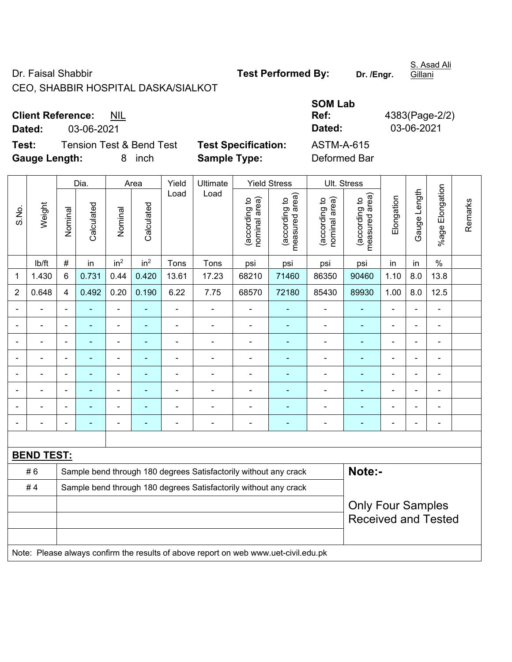Dr. Faisal Shabbir **Test Performed By:** Dr. /Engr.

CEO, SHABBIR HOSPITAL DASKA/SIALKOT

S. Asad Ali

**Gillani** 

**Client Reference:** NIL

**Dated:** 03-06-2021 **Dated:** 03-06-2021

**Test:** Tension Test & Bend Test **Test Specification:** ASTM-A-615 **Gauge Length:** 8 inch **Sample Type:** Deformed Bar

|                |                   |                | Dia.                                        |                          | Area                           | Yield                           | Ultimate                                                                            |                                 | <b>Yield Stress</b> |                | Ult. Stress                                            |                              |                          |                |  |
|----------------|-------------------|----------------|---------------------------------------------|--------------------------|--------------------------------|---------------------------------|-------------------------------------------------------------------------------------|---------------------------------|---------------------|----------------|--------------------------------------------------------|------------------------------|--------------------------|----------------|--|
| S.No.          | Weight            | Nominal        | Load<br>Calculated<br>Calculated<br>Nominal | Load                     | nominal area)<br>(according to | (according to<br>measured area) | (according to<br>nominal area)                                                      | (according to<br>measured area) | Elongation          | Gauge Length   | Elongation<br>$%$ age F                                | Remarks                      |                          |                |  |
|                | lb/ft             | #              | in                                          | in <sup>2</sup>          | in <sup>2</sup>                | Tons                            | Tons                                                                                | psi                             | psi                 | psi            | psi                                                    | in                           | in                       | $\%$           |  |
| 1              | 1.430             | 6              | 0.731                                       | 0.44                     | 0.420                          | 13.61                           | 17.23                                                                               | 68210                           | 71460               | 86350          | 90460                                                  | 1.10                         | 8.0                      | 13.8           |  |
| $\overline{2}$ | 0.648             | 4              | 0.492                                       | 0.20                     | 0.190                          | 6.22                            | 7.75                                                                                | 68570                           | 72180               | 85430          | 89930                                                  | 1.00                         | 8.0                      | 12.5           |  |
| ä,             | $\blacksquare$    | $\blacksquare$ |                                             | $\blacksquare$           | ÷                              | $\blacksquare$                  | $\blacksquare$                                                                      | $\overline{\phantom{0}}$        | $\blacksquare$      | ÷              | $\blacksquare$                                         | ÷,                           | $\blacksquare$           | ÷,             |  |
|                | $\blacksquare$    | $\blacksquare$ | $\blacksquare$                              | $\blacksquare$           | ÷                              | $\overline{\phantom{a}}$        | $\blacksquare$                                                                      | $\qquad \qquad \blacksquare$    | $\blacksquare$      | ÷              | $\blacksquare$                                         | $\qquad \qquad \blacksquare$ | $\overline{\phantom{a}}$ | ÷              |  |
| $\blacksquare$ | $\blacksquare$    | $\blacksquare$ | $\blacksquare$                              | $\overline{\phantom{0}}$ | ä,                             | $\blacksquare$                  | $\blacksquare$                                                                      | $\blacksquare$                  | $\blacksquare$      | $\blacksquare$ | $\blacksquare$                                         | $\blacksquare$               | $\blacksquare$           | ä,             |  |
|                |                   | $\overline{a}$ |                                             | $\blacksquare$           | $\blacksquare$                 | $\blacksquare$                  | $\blacksquare$                                                                      | $\qquad \qquad \blacksquare$    | $\blacksquare$      | ÷              | ÷,                                                     | $\blacksquare$               |                          | $\blacksquare$ |  |
|                |                   |                |                                             |                          |                                |                                 | $\blacksquare$                                                                      | ۰                               | $\blacksquare$      | $\blacksquare$ | $\blacksquare$                                         |                              |                          |                |  |
|                |                   | ۰              |                                             |                          |                                | $\blacksquare$                  | ٠                                                                                   | $\blacksquare$                  | ٠                   |                | $\overline{\phantom{a}}$                               | $\blacksquare$               |                          |                |  |
|                |                   | $\blacksquare$ |                                             | $\blacksquare$           | ۰                              | $\blacksquare$                  | $\blacksquare$                                                                      | $\blacksquare$                  | $\blacksquare$      | $\blacksquare$ | $\overline{\phantom{a}}$                               | $\blacksquare$               |                          | $\blacksquare$ |  |
| $\blacksquare$ |                   | $\overline{a}$ |                                             | $\blacksquare$           | ۰                              | $\blacksquare$                  | $\blacksquare$                                                                      | $\overline{\phantom{a}}$        | $\blacksquare$      | ÷              | $\blacksquare$                                         | $\blacksquare$               | $\blacksquare$           | ÷              |  |
|                |                   |                |                                             |                          |                                |                                 |                                                                                     |                                 |                     |                |                                                        |                              |                          |                |  |
|                | <b>BEND TEST:</b> |                |                                             |                          |                                |                                 |                                                                                     |                                 |                     |                |                                                        |                              |                          |                |  |
|                | #6                |                |                                             |                          |                                |                                 | Sample bend through 180 degrees Satisfactorily without any crack                    |                                 |                     |                | Note:-                                                 |                              |                          |                |  |
|                | #4                |                |                                             |                          |                                |                                 | Sample bend through 180 degrees Satisfactorily without any crack                    |                                 |                     |                |                                                        |                              |                          |                |  |
|                |                   |                |                                             |                          |                                |                                 |                                                                                     |                                 |                     |                | <b>Only Four Samples</b><br><b>Received and Tested</b> |                              |                          |                |  |
|                |                   |                |                                             |                          |                                |                                 | Note: Please always confirm the results of above report on web www.uet-civil.edu.pk |                                 |                     |                |                                                        |                              |                          |                |  |

**SOM Lab Ref:** 4383(Page-2/2)<br> **Dated:** 03-06-2021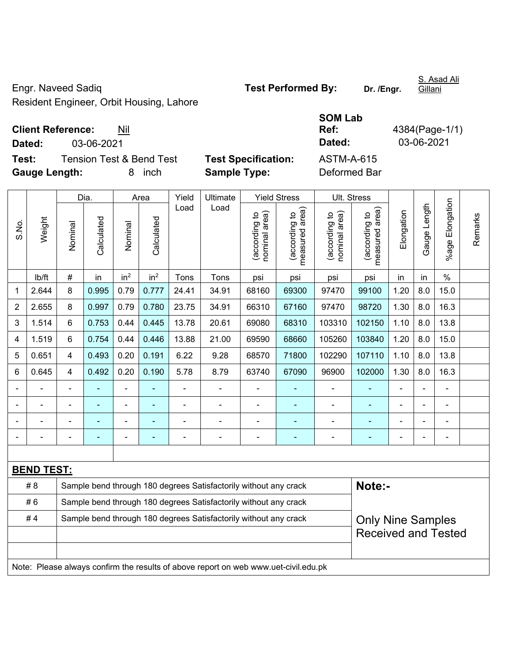Engr. Naveed Sadiq **Test Performed By: Dr. /Engr.**  Resident Engineer, Orbit Housing, Lahore

**Client Reference:** Nil

**Dated:** 03-06-2021 **Dated:** 03-06-2021 **Test:** Tension Test & Bend Test **Test Specification:** ASTM-A-615 **Gauge Length:** 8 inch **Sample Type:** Deformed Bar Dia. | Area | Yield | Ultimate | Yield Stress | Ult. Stress Load Load (according to<br>measured area) measured area) (according to<br>measured area) measured area) (according to<br>nominal area) (according to<br>nominal area) nominal area) nominal area) Elongation Elongation (according to (according to (according to (according to Weight **Calculated Calculated** Calculated Calculated S.No. Nominal Nominal Nominal Nominal

%age Elongation %age Elongation Gauge Length Gauge Length Remarks Remarks | lb/ft | # | in | in<sup>2</sup> | in<sup>2</sup> | Tons | Tons | psi | psi | psi | psi | in | in | % 1 | 2.644 | 8 | 0.995 | 0.79 | 0.777 | 24.41 | 34.91 | 68160 | 69300 | 97470 | 99100 | 1.20 | 8.0 | 15.0 2 | 2.655 | 8 | 0.997 | 0.79 | 0.780 | 23.75 | 34.91 | 66310 | 67160 | 97470 | 98720 | 1.30 | 8.0 | 16.3 3 | 1.514 | 6 | 0.753 | 0.44 | 0.445 | 13.78 | 20.61 | 69080 | 68310 | 103310 | 102150 | 1.10 | 8.0 | 13.8 4 | 1.519 | 6 | 0.754 | 0.44 | 0.446 | 13.88 | 21.00 | 69590 | 68660 | 105260 | 103840 | 1.20 | 8.0 | 15.0 5 | 0.651 | 4 | 0.493 | 0.20 | 0.191 | 6.22 | 9.28 | 68570 | 71800 | 102290 | 107110 | 1.10 | 8.0 | 13.8 6 | 0.645 | 4 | 0.492 | 0.20 | 0.190 | 5.78 | 8.79 | 63740 | 67090 | 96900 | 102000 | 1.30 | 8.0 | 16.3 - - - - - - - - - - - - - - - - - - - - - - - - - - - - - - - - - - - - - - - - - - - - - - - - - - - - - - - - - - - - **BEND TEST:**  # 8 Sample bend through 180 degrees Satisfactorily without any crack **Note:-**#6 Sample bend through 180 degrees Satisfactorily without any crack #4 Sample bend through 180 degrees Satisfactorily without any crack Only Nine Samples Received and Tested Note: Please always confirm the results of above report on web www.uet-civil.edu.pk

**SOM Lab Ref:** 4384(Page-1/1)

S. Asad Ali Gillani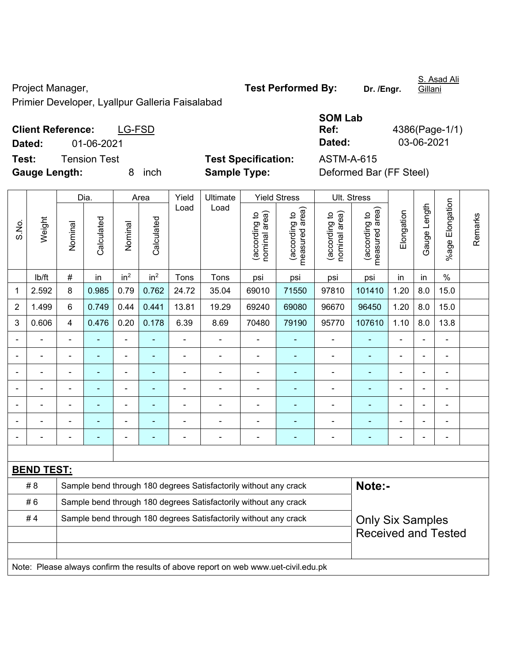Project Manager, **Test Performed By:** Dr. /Engr.

S. Asad Ali Gillani

Primier Developer, Lyallpur Galleria Faisalabad

|        |                                    |                            | <b>SOM Lab</b> |             |
|--------|------------------------------------|----------------------------|----------------|-------------|
|        | <b>Client Reference:</b><br>LG-FSD |                            | Ref:           | 4386(Page-1 |
| Dated: | 01-06-2021                         |                            | Dated:         | 03-06-2021  |
| Test:  | Tension Test                       | <b>Test Specification:</b> | ASTM-A-615     |             |

Lab **Ref:** 4386(Page-1/1)

**Gauge Length:** 8 inch **Sample Type:** Deformed Bar (FF Steel)

|                |                                                                        |                | Dia.           |                          | Area            | Yield          | Ultimate                                                                            |                                | <b>Yield Stress</b>             |                                | Ult. Stress                     |                |                |                 |         |  |
|----------------|------------------------------------------------------------------------|----------------|----------------|--------------------------|-----------------|----------------|-------------------------------------------------------------------------------------|--------------------------------|---------------------------------|--------------------------------|---------------------------------|----------------|----------------|-----------------|---------|--|
| S.No.          | Weight                                                                 | Nominal        | Calculated     | Nominal                  | Calculated      | Load           | Load                                                                                | nominal area)<br>(according to | (according to<br>measured area) | (according to<br>nominal area) | measured area)<br>(according to | Elongation     | Gauge Length   | %age Elongation | Remarks |  |
|                | lb/ft                                                                  | #              | in             | in <sup>2</sup>          | in <sup>2</sup> | Tons           | Tons                                                                                | psi                            | psi                             | psi                            | psi                             | in             | in             | $\%$            |         |  |
| 1              | 2.592                                                                  | 8              | 0.985          | 0.79                     | 0.762           | 24.72          | 35.04                                                                               | 69010                          | 71550                           | 97810                          | 101410                          | 1.20           | 8.0            | 15.0            |         |  |
| $\overline{2}$ | 1.499                                                                  | 6              | 0.749          | 0.44                     | 0.441           | 13.81          | 19.29                                                                               | 69240                          | 69080                           | 96670                          | 96450                           | 1.20           | 8.0            | 15.0            |         |  |
| 3              | 0.606                                                                  | $\overline{4}$ | 0.476          | 0.20                     | 0.178           | 6.39           | 8.69                                                                                | 70480                          | 79190                           | 95770                          | 107610                          | 1.10           | 8.0            | 13.8            |         |  |
|                |                                                                        | ä,             | ä,             | $\overline{\phantom{a}}$ | $\blacksquare$  | $\blacksquare$ | ÷,                                                                                  | $\blacksquare$                 | ä,                              | $\overline{\phantom{a}}$       | L,                              | $\blacksquare$ | L,             | ÷,              |         |  |
|                |                                                                        |                | ä,             | ä,                       |                 |                | L.                                                                                  | $\blacksquare$                 | $\blacksquare$                  | ä,                             | ä,                              |                |                | L.              |         |  |
|                |                                                                        |                |                | L.                       |                 |                | ÷.                                                                                  |                                | $\blacksquare$                  |                                |                                 |                |                |                 |         |  |
|                |                                                                        |                |                | ÷                        |                 |                | ÷                                                                                   |                                | ä,                              |                                | ÷,                              |                |                | ä,              |         |  |
|                |                                                                        | $\blacksquare$ | Ē,             | ÷                        | $\blacksquare$  | L,             | ÷.                                                                                  | $\blacksquare$                 | ٠                               | $\blacksquare$                 | ä,                              | $\blacksquare$ | $\blacksquare$ | ÷.              |         |  |
|                |                                                                        |                | $\blacksquare$ | ä,                       |                 |                | Ē,                                                                                  | Ē,                             | ä,                              |                                | ÷                               |                | ä,             | $\blacksquare$  |         |  |
| $\blacksquare$ |                                                                        | $\blacksquare$ | ٠              | ÷                        | ٠               |                | ä,                                                                                  | $\overline{a}$                 | ٠                               | $\blacksquare$                 | ä,                              | $\blacksquare$ | $\blacksquare$ | $\blacksquare$  |         |  |
|                |                                                                        |                |                |                          |                 |                |                                                                                     |                                |                                 |                                |                                 |                |                |                 |         |  |
|                | <b>BEND TEST:</b>                                                      |                |                |                          |                 |                |                                                                                     |                                |                                 |                                |                                 |                |                |                 |         |  |
|                | # 8                                                                    |                |                |                          |                 |                | Sample bend through 180 degrees Satisfactorily without any crack                    |                                |                                 |                                | Note:-                          |                |                |                 |         |  |
|                | #6                                                                     |                |                |                          |                 |                | Sample bend through 180 degrees Satisfactorily without any crack                    |                                |                                 |                                |                                 |                |                |                 |         |  |
|                | #4<br>Sample bend through 180 degrees Satisfactorily without any crack |                |                |                          |                 |                |                                                                                     |                                |                                 |                                | <b>Only Six Samples</b>         |                |                |                 |         |  |
|                |                                                                        |                |                |                          |                 |                |                                                                                     |                                |                                 |                                | <b>Received and Tested</b>      |                |                |                 |         |  |
|                |                                                                        |                |                |                          |                 |                |                                                                                     |                                |                                 |                                |                                 |                |                |                 |         |  |
|                |                                                                        |                |                |                          |                 |                | Note: Please always confirm the results of above report on web www.uet-civil.edu.pk |                                |                                 |                                |                                 |                |                |                 |         |  |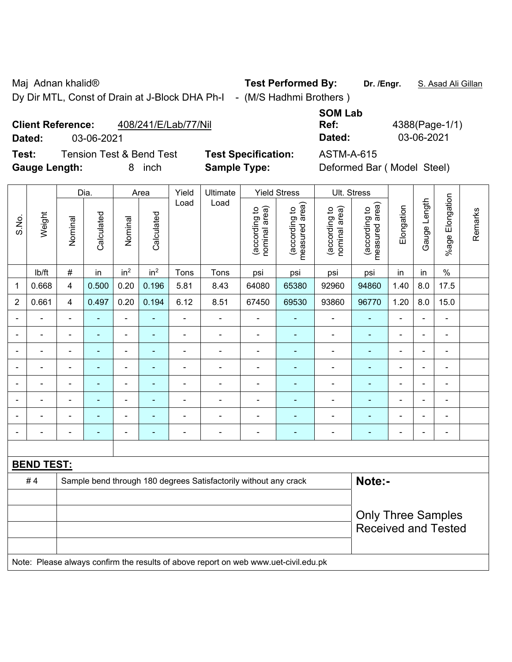Maj Adnan khalid® **Test Performed By:** Dr. /Engr. **S. Asad Ali Gillan** 

Dy Dir MTL, Const of Drain at J-Block DHA Ph-I - (M/S Hadhmi Brothers)

**SOM Lab Ref:** 4388(Page-1/1) **Dated:** 03-06-2021 **Dated:** 03-06-2021

### **Client Reference:** 408/241/E/Lab/77/Nil

**Test:** Tension Test & Bend Test **Test Specification:** ASTM-A-615 **Gauge Length:** 8 inch **Sample Type:** Deformed Bar ( Model Steel)

|                |                          |                | Dia.                     |                 | Area            | Yield          | Ultimate<br>Load                                                                    |                                | <b>Yield Stress</b>             |                                | Ult. Stress                     |                |                          |                          |         |
|----------------|--------------------------|----------------|--------------------------|-----------------|-----------------|----------------|-------------------------------------------------------------------------------------|--------------------------------|---------------------------------|--------------------------------|---------------------------------|----------------|--------------------------|--------------------------|---------|
| S.No.          | Weight                   | Nominal        | Calculated               | Nominal         | Calculated      | Load           |                                                                                     | nominal area)<br>(according to | (according to<br>measured area) | (according to<br>nominal area) | measured area)<br>(according to | Elongation     | Gauge Length             | %age Elongation          | Remarks |
|                | Ib/ft                    | $\#$           | in                       | in <sup>2</sup> | in <sup>2</sup> | Tons           | Tons                                                                                | psi                            | psi                             | psi                            | psi                             | in             | in                       | $\%$                     |         |
| 1              | 0.668                    | 4              | 0.500                    | 0.20            | 0.196           | 5.81           | 8.43                                                                                | 64080                          | 65380                           | 92960                          | 94860                           | 1.40           | 8.0                      | 17.5                     |         |
| $\overline{2}$ | 0.661                    | 4              | 0.497                    | 0.20            | 0.194           | 6.12           | 8.51                                                                                | 67450                          | 69530                           | 93860                          | 96770                           | 1.20           | 8.0                      | 15.0                     |         |
|                |                          |                |                          |                 |                 |                | ä,                                                                                  | ä,                             |                                 |                                |                                 |                |                          | ä,                       |         |
|                |                          |                | ۰                        | $\overline{a}$  |                 |                | ÷                                                                                   | $\blacksquare$                 | $\overline{\phantom{0}}$        | $\overline{\phantom{0}}$       | -                               |                |                          | $\overline{\phantom{0}}$ |         |
| $\blacksquare$ | $\overline{\phantom{0}}$ | $\blacksquare$ | $\blacksquare$           | ÷               |                 | $\blacksquare$ | $\blacksquare$                                                                      | $\blacksquare$                 | $\blacksquare$                  | $\blacksquare$                 | $\blacksquare$                  | $\blacksquare$ | $\overline{\phantom{0}}$ | $\blacksquare$           |         |
|                | $\overline{a}$           | $\blacksquare$ | $\overline{\phantom{0}}$ | ÷,              |                 | $\blacksquare$ | ÷                                                                                   | $\overline{\phantom{a}}$       | ٠                               | $\blacksquare$                 | $\blacksquare$                  | $\blacksquare$ | $\overline{\phantom{0}}$ | $\blacksquare$           |         |
|                | $\blacksquare$           | $\blacksquare$ | ÷                        | ÷,              |                 | $\blacksquare$ | ä,                                                                                  | $\blacksquare$                 | $\blacksquare$                  | $\blacksquare$                 | $\blacksquare$                  | $\blacksquare$ |                          | $\blacksquare$           |         |
|                | ä,                       | ä,             |                          | $\blacksquare$  |                 |                | ÷                                                                                   | ä,                             |                                 |                                |                                 |                |                          | $\blacksquare$           |         |
|                |                          |                |                          | $\blacksquare$  |                 |                |                                                                                     | ä,                             |                                 | $\blacksquare$                 |                                 |                |                          |                          |         |
| $\blacksquare$ | $\overline{a}$           | ä,             | $\overline{\phantom{0}}$ | ÷               |                 | $\blacksquare$ | ÷                                                                                   | $\blacksquare$                 | $\blacksquare$                  | $\blacksquare$                 | $\blacksquare$                  | $\blacksquare$ | $\overline{\phantom{0}}$ | $\overline{\phantom{a}}$ |         |
|                |                          |                |                          |                 |                 |                |                                                                                     |                                |                                 |                                |                                 |                |                          |                          |         |
|                | <b>BEND TEST:</b>        |                |                          |                 |                 |                |                                                                                     |                                |                                 |                                |                                 |                |                          |                          |         |
|                | #4                       |                |                          |                 |                 |                | Sample bend through 180 degrees Satisfactorily without any crack                    |                                |                                 |                                | Note:-                          |                |                          |                          |         |
|                |                          |                |                          |                 |                 |                |                                                                                     |                                |                                 |                                |                                 |                |                          |                          |         |
|                |                          |                |                          |                 |                 |                |                                                                                     |                                |                                 |                                | <b>Only Three Samples</b>       |                |                          |                          |         |
|                |                          |                |                          |                 |                 |                |                                                                                     |                                |                                 |                                | <b>Received and Tested</b>      |                |                          |                          |         |
|                |                          |                |                          |                 |                 |                |                                                                                     |                                |                                 |                                |                                 |                |                          |                          |         |
|                |                          |                |                          |                 |                 |                | Note: Please always confirm the results of above report on web www.uet-civil.edu.pk |                                |                                 |                                |                                 |                |                          |                          |         |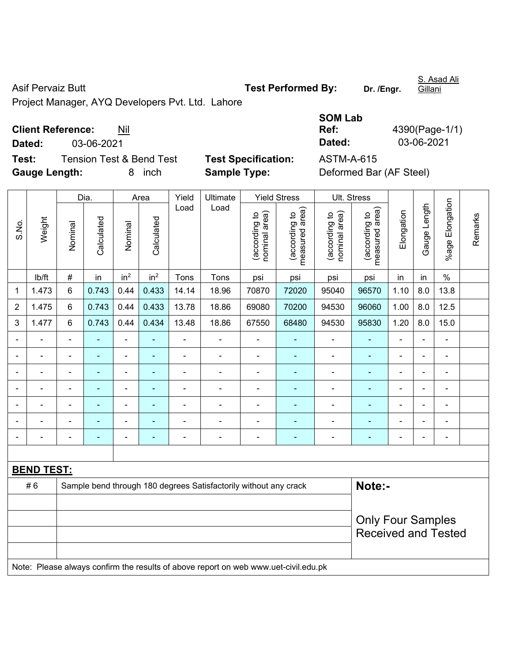Asif Pervaiz Butt **Test Performed By:** Dr. /Engr.

S. Asad Ali Gillani

Project Manager, AYQ Developers Pvt. Ltd. Lahore

### **Client Reference:** Nil

**Dated:** 03-06-2021 **Dated:** 03-06-2021

**Test:** Tension Test & Bend Test **Test Specification:** ASTM-A-615 **Gauge Length:** 8 inch **Sample Type:** Deformed Bar (AF Steel)

| SOM Lab |                |
|---------|----------------|
| Ref:    | 4390(Page-1/1) |
| Dated:  | 03-06-2021     |
|         |                |

|                |                   |                                                | Dia.           | Area            |                                | Yield                           | Ultimate<br>Load                                                                    |                                 | <b>Yield Stress</b> | Ult. Stress    |                            |                |                |                          |  |  |
|----------------|-------------------|------------------------------------------------|----------------|-----------------|--------------------------------|---------------------------------|-------------------------------------------------------------------------------------|---------------------------------|---------------------|----------------|----------------------------|----------------|----------------|--------------------------|--|--|
| S.No.          | Weight            | Calculated<br>Calculated<br>Nominal<br>Nominal | Load           |                 | nominal area)<br>(according to | measured area)<br>(according to | nominal area)<br>(according to                                                      | measured area)<br>(according to | Elongation          | Gauge Length   | %age Elongation            | Remarks        |                |                          |  |  |
|                | lb/ft             | $\#$                                           | in             | in <sup>2</sup> | in <sup>2</sup>                | Tons                            | Tons                                                                                | psi                             | psi                 | psi            | psi                        | in             | in             | $\%$                     |  |  |
| 1              | 1.473             | 6                                              | 0.743          | 0.44            | 0.433                          | 14.14                           | 18.96                                                                               | 70870                           | 72020               | 95040          | 96570                      | 1.10           | 8.0            | 13.8                     |  |  |
| $\overline{2}$ | 1.475             | 6                                              | 0.743          | 0.44            | 0.433                          | 13.78                           | 18.86                                                                               | 69080                           | 70200               | 94530          | 96060                      | 1.00           | 8.0            | 12.5                     |  |  |
| 3              | 1.477             | $6\phantom{1}$                                 | 0.743          | 0.44            | 0.434                          | 13.48                           | 18.86                                                                               | 67550                           | 68480               | 94530          | 95830                      | 1.20           | 8.0            | 15.0                     |  |  |
|                |                   |                                                |                |                 |                                |                                 |                                                                                     |                                 |                     | $\blacksquare$ | $\blacksquare$             | $\blacksquare$ |                | ÷                        |  |  |
| $\blacksquare$ |                   | $\blacksquare$                                 | ä,             | $\blacksquare$  | $\blacksquare$                 | $\blacksquare$                  | ÷,                                                                                  | $\overline{\phantom{a}}$        | $\blacksquare$      | $\blacksquare$ | $\blacksquare$             | $\blacksquare$ | ÷,             | $\overline{\phantom{a}}$ |  |  |
|                | $\blacksquare$    | $\blacksquare$                                 | ÷,             | $\blacksquare$  | ٠                              | $\blacksquare$                  | ä,                                                                                  | $\blacksquare$                  | ٠                   | $\blacksquare$ | $\blacksquare$             | $\blacksquare$ | ä,             | $\overline{\phantom{a}}$ |  |  |
|                |                   | $\overline{\phantom{a}}$                       | ÷,             | $\blacksquare$  | ÷                              | $\blacksquare$                  | ÷,                                                                                  | $\blacksquare$                  | ÷                   | $\blacksquare$ | $\blacksquare$             | $\blacksquare$ | ÷,             | $\overline{\phantom{a}}$ |  |  |
|                |                   | $\blacksquare$                                 | ä,             | $\blacksquare$  |                                | $\blacksquare$                  | ÷                                                                                   | $\blacksquare$                  | ٠                   | $\blacksquare$ | $\blacksquare$             |                | $\blacksquare$ | $\blacksquare$           |  |  |
|                |                   |                                                | $\blacksquare$ |                 |                                |                                 | L.                                                                                  |                                 |                     | L,             | $\blacksquare$             |                |                | ÷                        |  |  |
|                |                   |                                                |                |                 |                                |                                 |                                                                                     |                                 |                     |                |                            |                | $\blacksquare$ | ۰                        |  |  |
|                |                   |                                                |                |                 |                                |                                 |                                                                                     |                                 |                     |                |                            |                |                |                          |  |  |
|                | <b>BEND TEST:</b> |                                                |                |                 |                                |                                 |                                                                                     |                                 |                     |                |                            |                |                |                          |  |  |
|                | #6                |                                                |                |                 |                                |                                 | Sample bend through 180 degrees Satisfactorily without any crack                    |                                 |                     |                | Note:-                     |                |                |                          |  |  |
|                |                   |                                                |                |                 |                                |                                 |                                                                                     |                                 |                     |                |                            |                |                |                          |  |  |
|                |                   |                                                |                |                 |                                |                                 | <b>Only Four Samples</b>                                                            |                                 |                     |                |                            |                |                |                          |  |  |
|                |                   |                                                |                |                 |                                |                                 |                                                                                     |                                 |                     |                | <b>Received and Tested</b> |                |                |                          |  |  |
|                |                   |                                                |                |                 |                                |                                 |                                                                                     |                                 |                     |                |                            |                |                |                          |  |  |
|                |                   |                                                |                |                 |                                |                                 | Note: Please always confirm the results of above report on web www.uet-civil.edu.pk |                                 |                     |                |                            |                |                |                          |  |  |